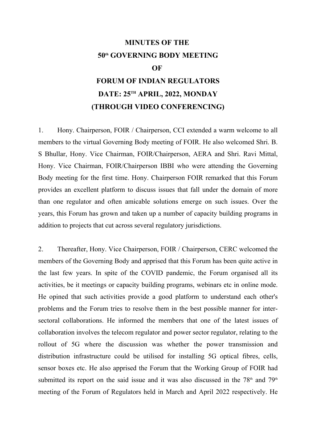# **MINUTES OF THE 50th GOVERNING BODY MEETING OF FORUM OF INDIAN REGULATORS DATE: 25TH APRIL, 2022, MONDAY (THROUGH VIDEO CONFERENCING)**

1. Hony. Chairperson, FOIR / Chairperson, CCI extended a warm welcome to all members to the virtual Governing Body meeting of FOIR. He also welcomed Shri. B. S Bhullar, Hony. Vice Chairman, FOIR/Chairperson, AERA and Shri. Ravi Mittal, Hony. Vice Chairman, FOIR/Chairperson IBBI who were attending the Governing Body meeting for the first time. Hony. Chairperson FOIR remarked that this Forum provides an excellent platform to discuss issues that fall under the domain of more than one regulator and often amicable solutions emerge on such issues. Over the years, this Forum has grown and taken up a number of capacity building programs in addition to projects that cut across several regulatory jurisdictions.

2. Thereafter, Hony. Vice Chairperson, FOIR / Chairperson, CERC welcomed the members of the Governing Body and apprised that this Forum has been quite active in the last few years. In spite of the COVID pandemic, the Forum organised all its activities, be it meetings or capacity building programs, webinars etc in online mode. He opined that such activities provide a good platform to understand each other's problems and the Forum tries to resolve them in the best possible manner for intersectoral collaborations. He informed the members that one of the latest issues of collaboration involves the telecom regulator and power sector regulator, relating to the rollout of 5G where the discussion was whether the power transmission and distribution infrastructure could be utilised for installing 5G optical fibres, cells, sensor boxes etc. He also apprised the Forum that the Working Group of FOIR had submitted its report on the said issue and it was also discussed in the  $78<sup>th</sup>$  and  $79<sup>th</sup>$ meeting of the Forum of Regulators held in March and April 2022 respectively. He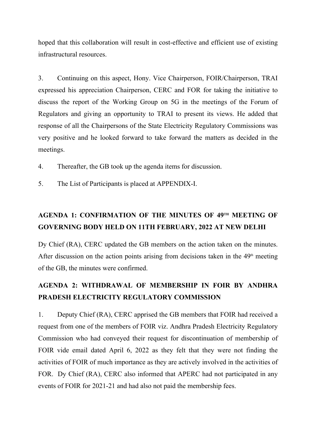hoped that this collaboration will result in cost-effective and efficient use of existing infrastructural resources.

3. Continuing on this aspect, Hony. Vice Chairperson, FOIR/Chairperson, TRAI expressed his appreciation Chairperson, CERC and FOR for taking the initiative to discuss the report of the Working Group on 5G in the meetings of the Forum of Regulators and giving an opportunity to TRAI to present its views. He added that response of all the Chairpersons of the State Electricity Regulatory Commissions was very positive and he looked forward to take forward the matters as decided in the meetings.

- 4. Thereafter, the GB took up the agenda items for discussion.
- 5. The List of Participants is placed at APPENDIX-I.

### **AGENDA 1: CONFIRMATION OF THE MINUTES OF 49TH MEETING OF GOVERNING BODY HELD ON 11TH FEBRUARY, 2022 AT NEW DELHI**

Dy Chief (RA), CERC updated the GB members on the action taken on the minutes. After discussion on the action points arising from decisions taken in the  $49<sup>th</sup>$  meeting of the GB, the minutes were confirmed.

## **AGENDA 2: WITHDRAWAL OF MEMBERSHIP IN FOIR BY ANDHRA PRADESH ELECTRICITY REGULATORY COMMISSION**

1. Deputy Chief (RA), CERC apprised the GB members that FOIR had received a request from one of the members of FOIR viz. Andhra Pradesh Electricity Regulatory Commission who had conveyed their request for discontinuation of membership of FOIR vide email dated April 6, 2022 as they felt that they were not finding the activities of FOIR of much importance as they are actively involved in the activities of FOR. Dy Chief (RA), CERC also informed that APERC had not participated in any events of FOIR for 2021-21 and had also not paid the membership fees.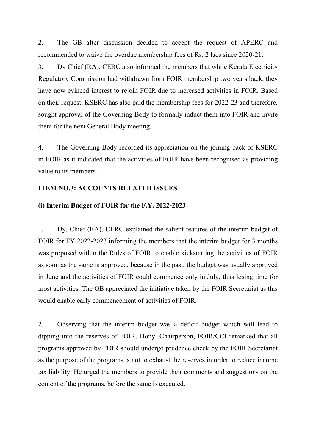2. The GB after discussion decided to accept the request of APERC and recommended to waive the overdue membership fees of Rs. 2 lacs since 2020-21.

3. Dy Chief (RA), CERC also informed the members that while Kerala Electricity Regulatory Commission had withdrawn from FOIR membership two years back, they have now evinced interest to rejoin FOIR due to increased activities in FOIR. Based on their request, KSERC has also paid the membership fees for 2022-23 and therefore, sought approval of the Governing Body to formally induct them into FOIR and invite them for the next General Body meeting.

4. The Governing Body recorded its appreciation on the joining back of KSERC in FOIR as it indicated that the activities of FOIR have been recognised as providing value to its members.

#### **ITEM NO.3: ACCOUNTS RELATED ISSUES**

#### **(i) Interim Budget of FOIR for the F.Y. 2022-2023**

1. Dy. Chief (RA), CERC explained the salient features of the interim budget of FOIR for FY 2022-2023 informing the members that the interim budget for 3 months was proposed within the Rules of FOIR to enable kickstarting the activities of FOIR as soon as the same is approved, because in the past, the budget was usually approved in June and the activities of FOIR could commence only in July, thus losing time for most activities. The GB appreciated the initiative taken by the FOIR Secretariat as this would enable early commencement of activities of FOIR.

2. Observing that the interim budget was a deficit budget which will lead to dipping into the reserves of FOIR, Hony. Chairperson, FOIR/CCI remarked that all programs approved by FOIR should undergo prudence check by the FOIR Secretariat as the purpose of the programs is not to exhaust the reserves in order to reduce income tax liability. He urged the members to provide their comments and suggestions on the content of the programs, before the same is executed.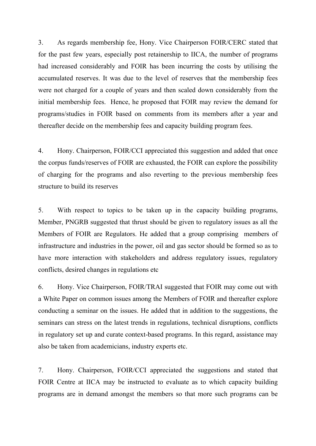3. As regards membership fee, Hony. Vice Chairperson FOIR/CERC stated that for the past few years, especially post retainership to IICA, the number of programs had increased considerably and FOIR has been incurring the costs by utilising the accumulated reserves. It was due to the level of reserves that the membership fees were not charged for a couple of years and then scaled down considerably from the initial membership fees. Hence, he proposed that FOIR may review the demand for programs/studies in FOIR based on comments from its members after a year and thereafter decide on the membership fees and capacity building program fees.

4. Hony. Chairperson, FOIR/CCI appreciated this suggestion and added that once the corpus funds/reserves of FOIR are exhausted, the FOIR can explore the possibility of charging for the programs and also reverting to the previous membership fees structure to build its reserves

5. With respect to topics to be taken up in the capacity building programs, Member, PNGRB suggested that thrust should be given to regulatory issues as all the Members of FOIR are Regulators. He added that a group comprising members of infrastructure and industries in the power, oil and gas sector should be formed so as to have more interaction with stakeholders and address regulatory issues, regulatory conflicts, desired changes in regulations etc

6. Hony. Vice Chairperson, FOIR/TRAI suggested that FOIR may come out with a White Paper on common issues among the Members of FOIR and thereafter explore conducting a seminar on the issues. He added that in addition to the suggestions, the seminars can stress on the latest trends in regulations, technical disruptions, conflicts in regulatory set up and curate context-based programs. In this regard, assistance may also be taken from academicians, industry experts etc.

7. Hony. Chairperson, FOIR/CCI appreciated the suggestions and stated that FOIR Centre at IICA may be instructed to evaluate as to which capacity building programs are in demand amongst the members so that more such programs can be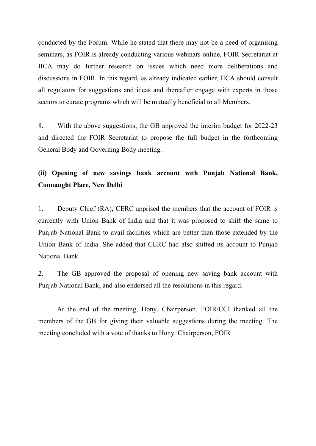conducted by the Forum. While he stated that there may not be a need of organising seminars, as FOIR is already conducting various webinars online, FOIR Secretariat at IICA may do further research on issues which need more deliberations and discussions in FOIR. In this regard, as already indicated earlier, IICA should consult all regulators for suggestions and ideas and thereafter engage with experts in those sectors to curate programs which will be mutually beneficial to all Members.

8. With the above suggestions, the GB approved the interim budget for 2022-23 and directed the FOIR Secretariat to propose the full budget in the forthcoming General Body and Governing Body meeting.

### **(ii) Opening of new savings bank account with Punjab National Bank, Connaught Place, New Delhi**

1. Deputy Chief (RA), CERC apprised the members that the account of FOIR is currently with Union Bank of India and that it was proposed to shift the same to Punjab National Bank to avail facilities which are better than those extended by the Union Bank of India. She added that CERC had also shifted its account to Punjab National Bank.

2. The GB approved the proposal of opening new saving bank account with Punjab National Bank, and also endorsed all the resolutions in this regard.

At the end of the meeting, Hony. Chairperson, FOIR/CCI thanked all the members of the GB for giving their valuable suggestions during the meeting. The meeting concluded with a vote of thanks to Hony. Chairperson, FOIR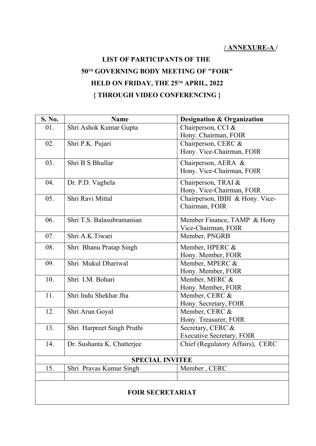## **LIST OF PARTICIPANTS OF THE 50TH GOVERNING BODY MEETING OF "FOIR" HELD ON FRIDAY, THE 25TH APRIL, 2022 { THROUGH VIDEO CONFERENCING }**

| S. No. | <b>Name</b>                | <b>Designation &amp; Organization</b> |
|--------|----------------------------|---------------------------------------|
| 01.    | Shri Ashok Kumar Gupta     | Chairperson, CCI &                    |
|        |                            | Hony. Chairman, FOIR                  |
| 02.    | Shri P.K. Pujari           | Chairperson, CERC &                   |
|        |                            | Hony. Vice-Chairman, FOIR             |
| 03.    | Shri B S Bhullar           | Chairperson, AERA &                   |
|        |                            | Hony. Vice-Chairman, FOIR             |
| 04.    | Dr. P.D. Vaghela           | Chairperson, TRAI &                   |
|        |                            | Hony. Vice-Chairman, FOIR             |
| 05.    | Shri Ravi Mittal           | Chairperson, IBBI & Hony. Vice-       |
|        |                            | Chairman, FOIR                        |
| 06.    | Shri T.S. Balasubramanian  | Member Finance, TAMP & Hony           |
|        |                            | Vice-Chairman, FOIR                   |
| 07.    | Shri A.K.Tiwari            | Member, PNGRB                         |
| 08.    | Shri Bhanu Pratap Singh    | Member, HPERC &                       |
|        |                            | Hony. Member, FOIR                    |
| 09.    | Shri Mukul Dhariwal        | Member, MPERC &                       |
|        |                            | Hony. Member, FOIR                    |
| 10.    | Shri I.M. Bohari           | Member, MERC &                        |
|        |                            | Hony. Member, FOIR                    |
| 11.    | Shri Indu Shekhar Jha      | Member, CERC &                        |
|        |                            | Hony. Secretary, FOIR                 |
| 12.    | Shri Arun Goyal            | Member, CERC &                        |
|        |                            | Hony. Treasurer, FOIR                 |
| 13.    | Shri Harpreet Singh Pruthi | Secretary, CERC &                     |
|        |                            | <b>Executive Secretary, FOIR</b>      |
| 14.    | Dr. Sushanta K. Chatterjee | Chief (Regulatory Affairs), CERC      |
|        | <b>SPECIAL INVITEE</b>     |                                       |
| 15.    | Shri Pravas Kumar Singh    | Member, CERC                          |
|        |                            |                                       |
|        |                            |                                       |
|        | <b>FOIR SECRETARIAT</b>    |                                       |